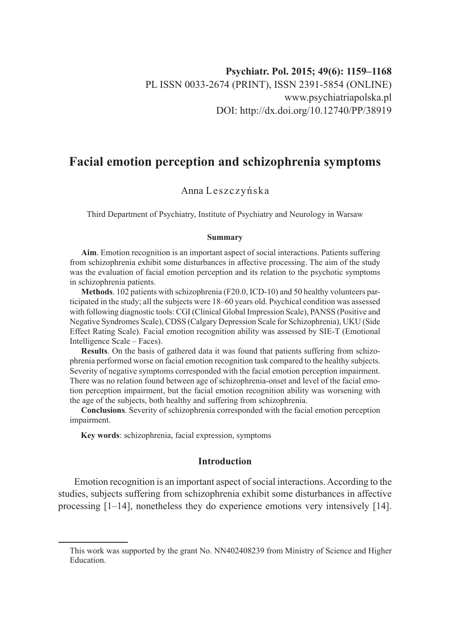# **Facial emotion perception and schizophrenia symptoms**

## Anna Leszczyńska

Third Department of Psychiatry, Institute of Psychiatry and Neurology in Warsaw

#### **Summary**

**Aim**. Emotion recognition is an important aspect of social interactions. Patients suffering from schizophrenia exhibit some disturbances in affective processing. The aim of the study was the evaluation of facial emotion perception and its relation to the psychotic symptoms in schizophrenia patients.

**Methods**. 102 patients with schizophrenia (F20.0, ICD-10) and 50 healthy volunteers participated in the study; all the subjects were 18–60 years old. Psychical condition was assessed with following diagnostic tools: CGI (Clinical Global Impression Scale), PANSS (Positive and Negative Syndromes Scale), CDSS (Calgary Depression Scale for Schizophrenia), UKU (Side Effect Rating Scale). Facial emotion recognition ability was assessed by SIE-T (Emotional Intelligence Scale – Faces).

**Results**. On the basis of gathered data it was found that patients suffering from schizophrenia performed worse on facial emotion recognition task compared to the healthy subjects. Severity of negative symptoms corresponded with the facial emotion perception impairment. There was no relation found between age of schizophrenia-onset and level of the facial emotion perception impairment, but the facial emotion recognition ability was worsening with the age of the subjects, both healthy and suffering from schizophrenia.

**Conclusions**. Severity of schizophrenia corresponded with the facial emotion perception impairment.

**Key words**: schizophrenia, facial expression, symptoms

#### **Introduction**

Emotion recognition is an important aspect of social interactions. According to the studies, subjects suffering from schizophrenia exhibit some disturbances in affective processing [1–14], nonetheless they do experience emotions very intensively [14].

This work was supported by the grant No. NN402408239 from Ministry of Science and Higher Education.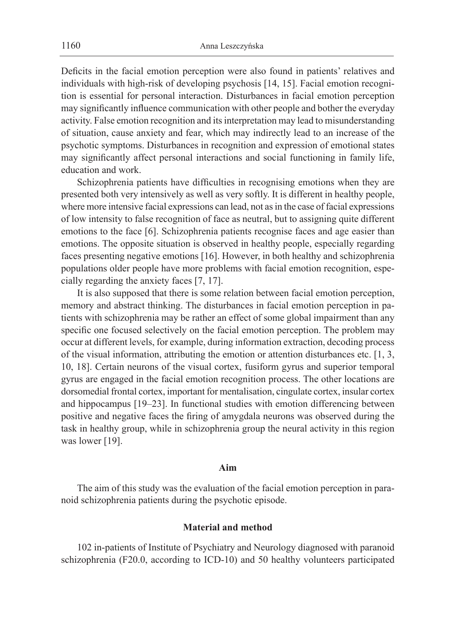Deficits in the facial emotion perception were also found in patients' relatives and individuals with high-risk of developing psychosis [14, 15]. Facial emotion recognition is essential for personal interaction. Disturbances in facial emotion perception may significantly influence communication with other people and bother the everyday activity. False emotion recognition and its interpretation may lead to misunderstanding of situation, cause anxiety and fear, which may indirectly lead to an increase of the psychotic symptoms. Disturbances in recognition and expression of emotional states may significantly affect personal interactions and social functioning in family life, education and work.

Schizophrenia patients have difficulties in recognising emotions when they are presented both very intensively as well as very softly. It is different in healthy people, where more intensive facial expressions can lead, not as in the case of facial expressions of low intensity to false recognition of face as neutral, but to assigning quite different emotions to the face [6]. Schizophrenia patients recognise faces and age easier than emotions. The opposite situation is observed in healthy people, especially regarding faces presenting negative emotions [16]. However, in both healthy and schizophrenia populations older people have more problems with facial emotion recognition, especially regarding the anxiety faces [7, 17].

It is also supposed that there is some relation between facial emotion perception, memory and abstract thinking. The disturbances in facial emotion perception in patients with schizophrenia may be rather an effect of some global impairment than any specific one focused selectively on the facial emotion perception. The problem may occur at different levels, for example, during information extraction, decoding process of the visual information, attributing the emotion or attention disturbances etc. [1, 3, 10, 18]. Certain neurons of the visual cortex, fusiform gyrus and superior temporal gyrus are engaged in the facial emotion recognition process. The other locations are dorsomedial frontal cortex, important for mentalisation, cingulate cortex, insular cortex and hippocampus [19–23]. In functional studies with emotion differencing between positive and negative faces the firing of amygdala neurons was observed during the task in healthy group, while in schizophrenia group the neural activity in this region was lower [19].

#### **Aim**

The aim of this study was the evaluation of the facial emotion perception in paranoid schizophrenia patients during the psychotic episode.

## **Material and method**

102 in-patients of Institute of Psychiatry and Neurology diagnosed with paranoid schizophrenia (F20.0, according to ICD-10) and 50 healthy volunteers participated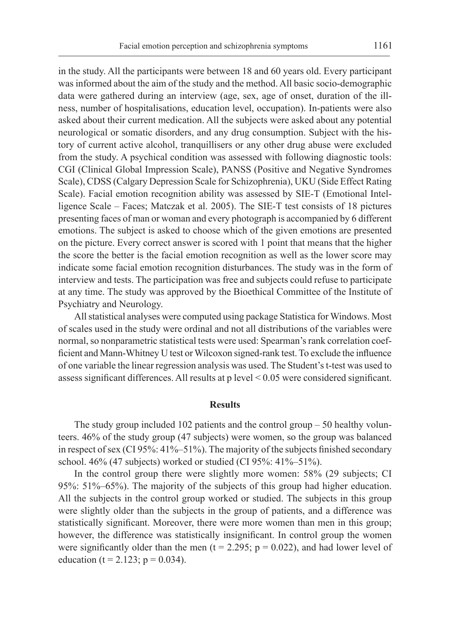in the study. All the participants were between 18 and 60 years old. Every participant was informed about the aim of the study and the method. All basic socio-demographic data were gathered during an interview (age, sex, age of onset, duration of the illness, number of hospitalisations, education level, occupation). In-patients were also asked about their current medication. All the subjects were asked about any potential neurological or somatic disorders, and any drug consumption. Subject with the history of current active alcohol, tranquillisers or any other drug abuse were excluded from the study. A psychical condition was assessed with following diagnostic tools: CGI (Clinical Global Impression Scale), PANSS (Positive and Negative Syndromes Scale), CDSS (Calgary Depression Scale for Schizophrenia), UKU (Side Effect Rating Scale). Facial emotion recognition ability was assessed by SIE-T (Emotional Intelligence Scale – Faces; Matczak et al. 2005). The SIE-T test consists of 18 pictures presenting faces of man or woman and every photograph is accompanied by 6 different emotions. The subject is asked to choose which of the given emotions are presented on the picture. Every correct answer is scored with 1 point that means that the higher the score the better is the facial emotion recognition as well as the lower score may indicate some facial emotion recognition disturbances. The study was in the form of interview and tests. The participation was free and subjects could refuse to participate at any time. The study was approved by the Bioethical Committee of the Institute of Psychiatry and Neurology.

All statistical analyses were computed using package Statistica for Windows. Most of scales used in the study were ordinal and not all distributions of the variables were normal, so nonparametric statistical tests were used: Spearman's rank correlation coefficient and Mann-Whitney U test or Wilcoxon signed-rank test. To exclude the influence of one variable the linear regression analysis was used. The Student's t-test was used to assess significant differences. All results at p level < 0.05 were considered significant.

#### **Results**

The study group included 102 patients and the control group – 50 healthy volunteers. 46% of the study group (47 subjects) were women, so the group was balanced in respect of sex (CI 95%: 41%–51%). The majority of the subjects finished secondary school. 46% (47 subjects) worked or studied (CI 95%: 41%–51%).

In the control group there were slightly more women: 58% (29 subjects; CI 95%: 51%–65%). The majority of the subjects of this group had higher education. All the subjects in the control group worked or studied. The subjects in this group were slightly older than the subjects in the group of patients, and a difference was statistically significant. Moreover, there were more women than men in this group; however, the difference was statistically insignificant. In control group the women were significantly older than the men ( $t = 2.295$ ;  $p = 0.022$ ), and had lower level of education ( $t = 2.123$ ;  $p = 0.034$ ).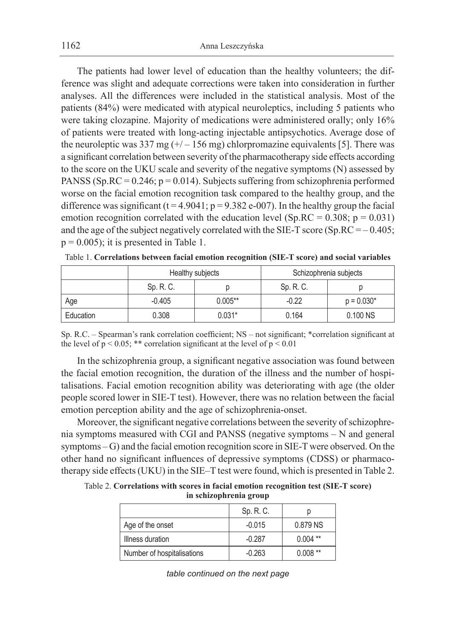The patients had lower level of education than the healthy volunteers; the difference was slight and adequate corrections were taken into consideration in further analyses. All the differences were included in the statistical analysis. Most of the patients (84%) were medicated with atypical neuroleptics, including 5 patients who were taking clozapine. Majority of medications were administered orally; only 16% of patients were treated with long-acting injectable antipsychotics. Average dose of the neuroleptic was 337 mg  $(+/-156 \text{ mg})$  chlorpromazine equivalents [5]. There was a significant correlation between severity of the pharmacotherapy side effects according to the score on the UKU scale and severity of the negative symptoms (N) assessed by PANSS (Sp.RC =  $0.246$ ; p =  $0.014$ ). Subjects suffering from schizophrenia performed worse on the facial emotion recognition task compared to the healthy group, and the difference was significant ( $t = 4.9041$ ;  $p = 9.382$  e-007). In the healthy group the facial emotion recognition correlated with the education level (Sp.RC =  $0.308$ ; p =  $0.031$ ) and the age of the subject negatively correlated with the SIE-T score (Sp.RC =  $-0.405$ ;  $p = 0.005$ ; it is presented in Table 1.

|           | Healthy subjects |           | Schizophrenia subjects |              |
|-----------|------------------|-----------|------------------------|--------------|
|           | Sp. R. C.        |           | Sp. R. C.              |              |
| Age       | $-0.405$         | $0.005**$ | $-0.22$                | $p = 0.030*$ |
| Education | 0.308            | $0.031*$  | 0.164                  | 0.100 NS     |

Table 1. **Correlations between facial emotion recognition (SIE-T score) and social variables**

Sp. R.C. – Spearman's rank correlation coefficient; NS – not significant; \*correlation significant at the level of  $p < 0.05$ ; \*\* correlation significant at the level of  $p < 0.01$ 

In the schizophrenia group, a significant negative association was found between the facial emotion recognition, the duration of the illness and the number of hospitalisations. Facial emotion recognition ability was deteriorating with age (the older people scored lower in SIE-T test). However, there was no relation between the facial emotion perception ability and the age of schizophrenia-onset.

Moreover, the significant negative correlations between the severity of schizophrenia symptoms measured with CGI and PANSS (negative symptoms – N and general symptoms – G) and the facial emotion recognition score in SIE-T were observed. On the other hand no significant influences of depressive symptoms (CDSS) or pharmacotherapy side effects (UKU) in the SIE–T test were found, which is presented in Table 2.

Table 2. **Correlations with scores in facial emotion recognition test (SIE-T score) in schizophrenia group**

|                            | Sp. R. C. |            |
|----------------------------|-----------|------------|
| Age of the onset           | $-0.015$  | 0.879 NS   |
| Illness duration           | $-0.287$  | $0.004$ ** |
| Number of hospitalisations | $-0.263$  | $0.008**$  |

*table continued on the next page*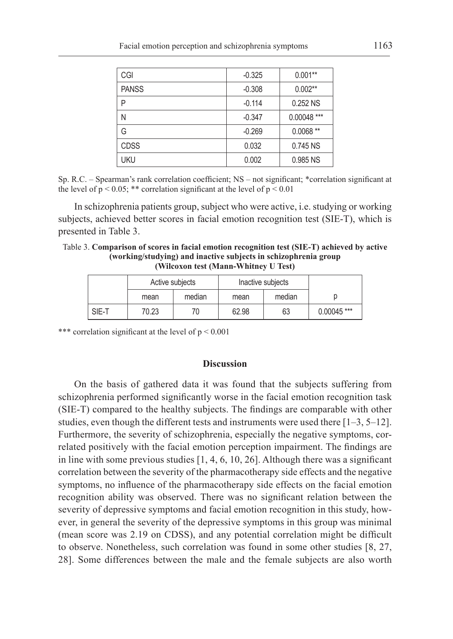| CGI          | $-0.325$ | $0.001**$     |  |
|--------------|----------|---------------|--|
| <b>PANSS</b> | $-0.308$ | $0.002**$     |  |
| Ρ            | $-0.114$ | 0.252 NS      |  |
| Ν            | $-0.347$ | $0.00048$ *** |  |
| G            | $-0.269$ | $0.0068**$    |  |
| <b>CDSS</b>  | 0.032    | $0.745$ NS    |  |
| <b>UKU</b>   | 0.002    | 0.985 NS      |  |

Sp. R.C. – Spearman's rank correlation coefficient; NS – not significant; \*correlation significant at the level of  $p < 0.05$ ; \*\* correlation significant at the level of  $p < 0.01$ 

In schizophrenia patients group, subject who were active, i.e. studying or working subjects, achieved better scores in facial emotion recognition test (SIE-T), which is presented in Table 3.

Table 3. **Comparison of scores in facial emotion recognition test (SIE-T) achieved by active (working/studying) and inactive subjects in schizophrenia group (Wilcoxon test (Mann-Whitney U Test)**

|       | Active subjects |        | Inactive subjects |        |               |
|-------|-----------------|--------|-------------------|--------|---------------|
|       | mean            | median | mean              | median |               |
| SIE-T | 70.23           | 70     | 62.98             | 63     | $0.00045$ *** |

\*\*\* correlation significant at the level of  $p < 0.001$ 

## **Discussion**

On the basis of gathered data it was found that the subjects suffering from schizophrenia performed significantly worse in the facial emotion recognition task (SIE-T) compared to the healthy subjects. The findings are comparable with other studies, even though the different tests and instruments were used there [1–3, 5–12]. Furthermore, the severity of schizophrenia, especially the negative symptoms, correlated positively with the facial emotion perception impairment. The findings are in line with some previous studies  $[1, 4, 6, 10, 26]$ . Although there was a significant correlation between the severity of the pharmacotherapy side effects and the negative symptoms, no influence of the pharmacotherapy side effects on the facial emotion recognition ability was observed. There was no significant relation between the severity of depressive symptoms and facial emotion recognition in this study, however, in general the severity of the depressive symptoms in this group was minimal (mean score was 2.19 on CDSS), and any potential correlation might be difficult to observe. Nonetheless, such correlation was found in some other studies [8, 27, 28]. Some differences between the male and the female subjects are also worth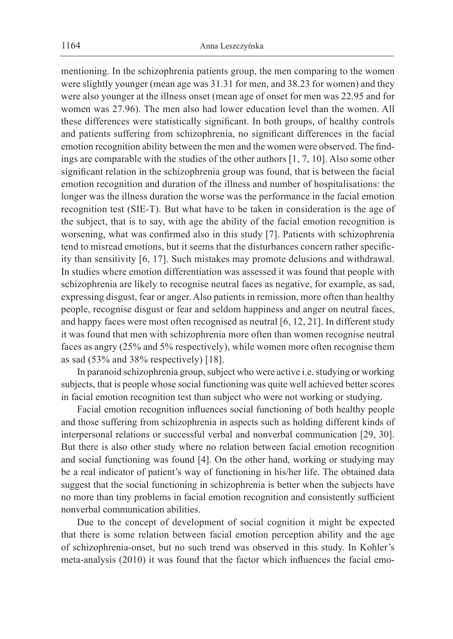mentioning. In the schizophrenia patients group, the men comparing to the women were slightly younger (mean age was 31.31 for men, and 38.23 for women) and they were also younger at the illness onset (mean age of onset for men was 22.95 and for women was 27.96). The men also had lower education level than the women. All these differences were statistically significant. In both groups, of healthy controls and patients suffering from schizophrenia, no significant differences in the facial emotion recognition ability between the men and the women were observed. The findings are comparable with the studies of the other authors [1, 7, 10]. Also some other significant relation in the schizophrenia group was found, that is between the facial emotion recognition and duration of the illness and number of hospitalisations: the longer was the illness duration the worse was the performance in the facial emotion recognition test (SIE-T). But what have to be taken in consideration is the age of the subject, that is to say, with age the ability of the facial emotion recognition is worsening, what was confirmed also in this study [7]. Patients with schizophrenia tend to misread emotions, but it seems that the disturbances concern rather specificity than sensitivity [6, 17]. Such mistakes may promote delusions and withdrawal. In studies where emotion differentiation was assessed it was found that people with schizophrenia are likely to recognise neutral faces as negative, for example, as sad, expressing disgust, fear or anger. Also patients in remission, more often than healthy people, recognise disgust or fear and seldom happiness and anger on neutral faces, and happy faces were most often recognised as neutral [6, 12, 21]. In different study it was found that men with schizophrenia more often than women recognise neutral faces as angry (25% and 5% respectively), while women more often recognise them as sad (53% and 38% respectively) [18].

In paranoid schizophrenia group, subject who were active i.e. studying or working subjects, that is people whose social functioning was quite well achieved better scores in facial emotion recognition test than subject who were not working or studying.

Facial emotion recognition influences social functioning of both healthy people and those suffering from schizophrenia in aspects such as holding different kinds of interpersonal relations or successful verbal and nonverbal communication [29, 30]. But there is also other study where no relation between facial emotion recognition and social functioning was found [4]. On the other hand, working or studying may be a real indicator of patient's way of functioning in his/her life. The obtained data suggest that the social functioning in schizophrenia is better when the subjects have no more than tiny problems in facial emotion recognition and consistently sufficient nonverbal communication abilities.

Due to the concept of development of social cognition it might be expected that there is some relation between facial emotion perception ability and the age of schizophrenia-onset, but no such trend was observed in this study. In Kohler's meta-analysis (2010) it was found that the factor which influences the facial emo-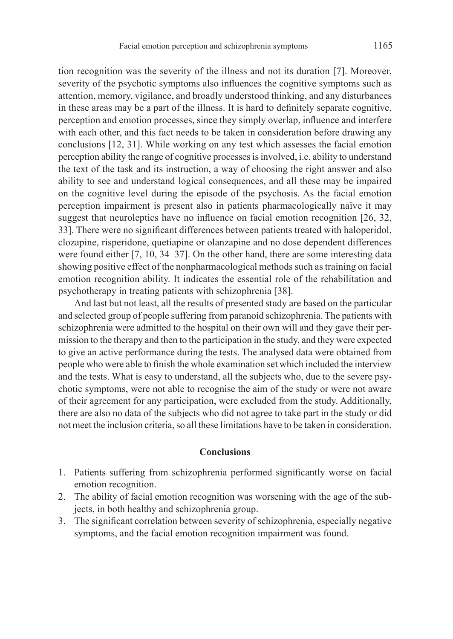tion recognition was the severity of the illness and not its duration [7]. Moreover, severity of the psychotic symptoms also influences the cognitive symptoms such as attention, memory, vigilance, and broadly understood thinking, and any disturbances in these areas may be a part of the illness. It is hard to definitely separate cognitive, perception and emotion processes, since they simply overlap, influence and interfere with each other, and this fact needs to be taken in consideration before drawing any conclusions [12, 31]. While working on any test which assesses the facial emotion perception ability the range of cognitive processes is involved, i.e. ability to understand the text of the task and its instruction, a way of choosing the right answer and also ability to see and understand logical consequences, and all these may be impaired on the cognitive level during the episode of the psychosis. As the facial emotion perception impairment is present also in patients pharmacologically naïve it may suggest that neuroleptics have no influence on facial emotion recognition [26, 32, 33]. There were no significant differences between patients treated with haloperidol, clozapine, risperidone, quetiapine or olanzapine and no dose dependent differences were found either [7, 10, 34–37]. On the other hand, there are some interesting data showing positive effect of the nonpharmacological methods such as training on facial emotion recognition ability. It indicates the essential role of the rehabilitation and psychotherapy in treating patients with schizophrenia [38].

And last but not least, all the results of presented study are based on the particular and selected group of people suffering from paranoid schizophrenia. The patients with schizophrenia were admitted to the hospital on their own will and they gave their permission to the therapy and then to the participation in the study, and they were expected to give an active performance during the tests. The analysed data were obtained from people who were able to finish the whole examination set which included the interview and the tests. What is easy to understand, all the subjects who, due to the severe psychotic symptoms, were not able to recognise the aim of the study or were not aware of their agreement for any participation, were excluded from the study. Additionally, there are also no data of the subjects who did not agree to take part in the study or did not meet the inclusion criteria, so all these limitations have to be taken in consideration.

#### **Conclusions**

- 1. Patients suffering from schizophrenia performed significantly worse on facial emotion recognition.
- 2. The ability of facial emotion recognition was worsening with the age of the subjects, in both healthy and schizophrenia group.
- 3. The significant correlation between severity of schizophrenia, especially negative symptoms, and the facial emotion recognition impairment was found.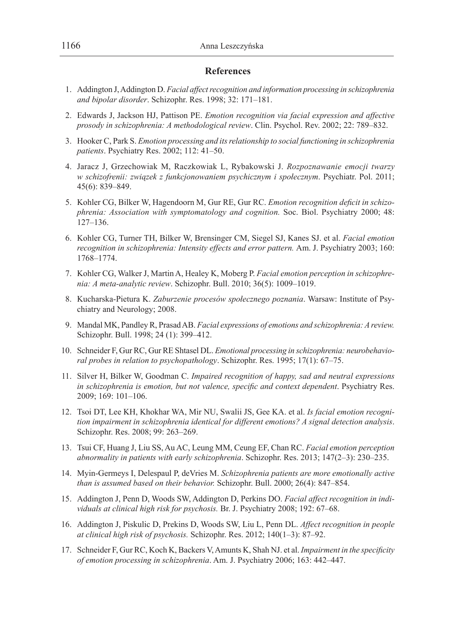## **References**

- 1. Addington J, Addington D. *Facial affect recognition and information processing in schizophrenia and bipolar disorder*. Schizophr. Res. 1998; 32: 171–181.
- 2. Edwards J, Jackson HJ, Pattison PE. *Emotion recognition via facial expression and affective prosody in schizophrenia: A methodological review*. Clin. Psychol. Rev. 2002; 22: 789–832.
- 3. Hooker C, Park S. *Emotion processing and its relationship to social functioning in schizophrenia patients*. Psychiatry Res. 2002; 112: 41–50.
- 4. Jaracz J, Grzechowiak M, Raczkowiak L, Rybakowski J. *Rozpoznawanie emocji twarzy w schizofrenii: związek z funkcjonowaniem psychicznym i społecznym*. Psychiatr. Pol. 2011; 45(6): 839–849.
- 5. Kohler CG, Bilker W, Hagendoorn M, Gur RE, Gur RC. *Emotion recognition deficit in schizophrenia: Association with symptomatology and cognition.* Soc. Biol. Psychiatry 2000; 48: 127–136.
- 6. Kohler CG, Turner TH, Bilker W, Brensinger CM, Siegel SJ, Kanes SJ. et al. *Facial emotion recognition in schizophrenia: Intensity effects and error pattern.* Am. J. Psychiatry 2003; 160: 1768–1774.
- 7. Kohler CG, Walker J, Martin A, Healey K, Moberg P. *Facial emotion perception in schizophrenia: A meta-analytic review*. Schizophr. Bull. 2010; 36(5): 1009–1019.
- 8. Kucharska-Pietura K. *Zaburzenie procesów społecznego poznania*. Warsaw: Institute of Psychiatry and Neurology; 2008.
- 9. Mandal MK, Pandley R, Prasad AB. *Facial expressions of emotions and schizophrenia: A review.*  Schizophr. Bull. 1998; 24 (1): 399–412.
- 10. Schneider F, Gur RC, Gur RE Shtasel DL. *Emotional processing in schizophrenia: neurobehavioral probes in relation to psychopathology*. Schizophr. Res. 1995; 17(1): 67–75.
- 11. Silver H, Bilker W, Goodman C. *Impaired recognition of happy, sad and neutral expressions in schizophrenia is emotion, but not valence, specific and context dependent*. Psychiatry Res. 2009; 169: 101–106.
- 12. Tsoi DT, Lee KH, Khokhar WA, Mir NU, Swalii JS, Gee KA. et al. *Is facial emotion recognition impairment in schizophrenia identical for different emotions? A signal detection analysis*. Schizophr. Res. 2008; 99: 263–269.
- 13. Tsui CF, Huang J, Liu SS, Au AC, Leung MM, Ceung EF, Chan RC. *Facial emotion perception abnormality in patients with early schizophrenia*. Schizophr. Res. 2013; 147(2–3): 230–235.
- 14. Myin-Germeys I, Delespaul P, deVries M. *Schizophrenia patients are more emotionally active than is assumed based on their behavior.* Schizophr. Bull. 2000; 26(4): 847–854.
- 15. Addington J, Penn D, Woods SW, Addington D, Perkins DO. *Facial affect recognition in individuals at clinical high risk for psychosis.* Br. J. Psychiatry 2008; 192: 67–68.
- 16. Addington J, Piskulic D, Prekins D, Woods SW, Liu L, Penn DL. *Affect recognition in people at clinical high risk of psychosis.* Schizophr. Res. 2012; 140(1–3): 87–92.
- 17. Schneider F, Gur RC, Koch K, Backers V, Amunts K, Shah NJ. et al. *Impairment in the specificity of emotion processing in schizophrenia*. Am. J. Psychiatry 2006; 163: 442–447.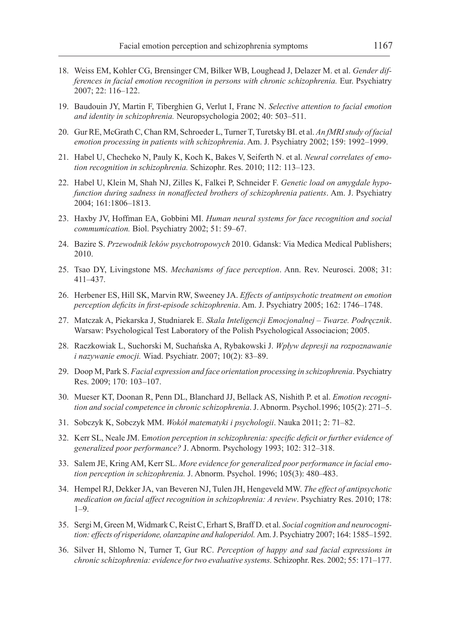- 18. Weiss EM, Kohler CG, Brensinger CM, Bilker WB, Loughead J, Delazer M. et al. *Gender differences in facial emotion recognition in persons with chronic schizophrenia.* Eur. Psychiatry 2007; 22: 116–122.
- 19. Baudouin JY, Martin F, Tiberghien G, Verlut I, Franc N. *Selective attention to facial emotion and identity in schizophrenia.* Neuropsychologia 2002; 40: 503–511.
- 20. Gur RE, McGrath C, Chan RM, Schroeder L, Turner T, Turetsky BI. et al. *An fMRI study of facial emotion processing in patients with schizophrenia*. Am. J. Psychiatry 2002; 159: 1992–1999.
- 21. Habel U, Checheko N, Pauly K, Koch K, Bakes V, Seiferth N. et al. *Neural correlates of emotion recognition in schizophrenia.* Schizophr. Res. 2010; 112: 113–123.
- 22. Habel U, Klein M, Shah NJ, Zilles K, Falkei P, Schneider F. *Genetic load on amygdale hypofunction during sadness in nonaffected brothers of schizophrenia patients*. Am. J. Psychiatry 2004; 161:1806–1813.
- 23. Haxby JV, Hoffman EA, Gobbini MI. *Human neural systems for face recognition and social commumication.* Biol. Psychiatry 2002; 51: 59–67.
- 24. Bazire S. *Przewodnik leków psychotropowych* 2010. Gdansk: Via Medica Medical Publishers; 2010.
- 25. Tsao DY, Livingstone MS. *Mechanisms of face perception*. Ann. Rev. Neurosci. 2008; 31: 411–437.
- 26. Herbener ES, Hill SK, Marvin RW, Sweeney JA. *Effects of antipsychotic treatment on emotion perception deficits in first-episode schizophrenia*. Am. J. Psychiatry 2005; 162: 1746–1748.
- 27. Matczak A, Piekarska J, Studniarek E. *Skala Inteligencji Emocjonalnej – Twarze. Podręcznik*. Warsaw: Psychological Test Laboratory of the Polish Psychological Associacion; 2005.
- 28. Raczkowiak L, Suchorski M, Suchańska A, Rybakowski J. *Wpływ depresji na rozpoznawanie i nazywanie emocji.* Wiad. Psychiatr. 2007; 10(2): 83–89.
- 29. Doop M, Park S. *Facial expression and face orientation processing in schizophrenia*. Psychiatry Res. 2009; 170: 103–107.
- 30. Mueser KT, Doonan R, Penn DL, Blanchard JJ, Bellack AS, Nishith P. et al. *Emotion recognition and social competence in chronic schizophrenia*. J. Abnorm. Psychol.1996; 105(2): 271–5.
- 31. Sobczyk K, Sobczyk MM. *Wokół matematyki i psychologii*. Nauka 2011; 2: 71–82.
- 32. Kerr SL, Neale JM. E*motion perception in schizophrenia: specific deficit or further evidence of generalized poor performance?* J. Abnorm. Psychology 1993; 102: 312–318.
- 33. Salem JE, Kring AM, Kerr SL. *More evidence for generalized poor performance in facial emotion perception in schizophrenia.* J. Abnorm. Psychol. 1996; 105(3): 480–483.
- 34. Hempel RJ, Dekker JA, van Beveren NJ, Tulen JH, Hengeveld MW. *The effect of antipsychotic medication on facial affect recognition in schizophrenia: A review*. Psychiatry Res. 2010; 178: 1–9.
- 35. Sergi M, Green M, Widmark C, Reist C, Erhart S, Braff D. et al. *Social cognition and neurocognition: effects of risperidone, olanzapine and haloperidol.* Am. J. Psychiatry 2007; 164: 1585–1592.
- 36. Silver H, Shlomo N, Turner T, Gur RC. *Perception of happy and sad facial expressions in chronic schizophrenia: evidence for two evaluative systems.* Schizophr. Res. 2002; 55: 171–177.